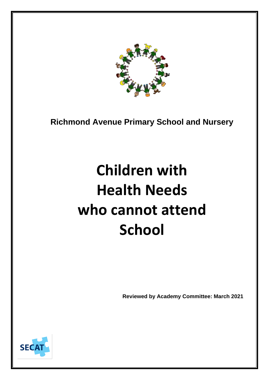

**Richmond Avenue Primary School and Nursery**

# **Children with Health Needs who cannot attend School**

**Reviewed by Academy Committee: March 2021**

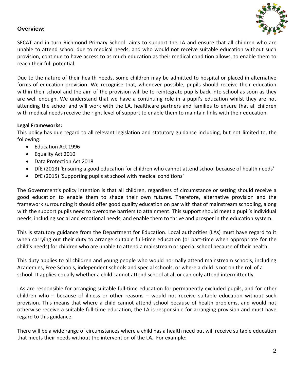

# **Overview:**

SECAT and in turn Richmond Primary School aims to support the LA and ensure that all children who are unable to attend school due to medical needs, and who would not receive suitable education without such provision, continue to have access to as much education as their medical condition allows, to enable them to reach their full potential.

Due to the nature of their health needs, some children may be admitted to hospital or placed in alternative forms of education provision. We recognise that, whenever possible, pupils should receive their education within their school and the aim of the provision will be to reintegrate pupils back into school as soon as they are well enough. We understand that we have a continuing role in a pupil's education whilst they are not attending the school and will work with the LA, healthcare partners and families to ensure that all children with medical needs receive the right level of support to enable them to maintain links with their education.

#### **Legal Frameworks:**

This policy has due regard to all relevant legislation and statutory guidance including, but not limited to, the following:

- Education Act 1996
- Equality Act 2010
- Data Protection Act 2018
- DfE (2013) 'Ensuring a good education for children who cannot attend school because of health needs'
- DfE (2015) 'Supporting pupils at school with medical conditions'

The Government's policy intention is that all children, regardless of circumstance or setting should receive a good education to enable them to shape their own futures. Therefore, alternative provision and the framework surrounding it should offer good quality education on par with that of mainstream schooling, along with the support pupils need to overcome barriers to attainment. This support should meet a pupil's individual needs, including social and emotional needs, and enable them to thrive and prosper in the education system.

This is statutory guidance from the Department for Education. Local authorities (LAs) must have regard to it when carrying out their duty to arrange suitable full-time education (or part-time when appropriate for the child's needs) for children who are unable to attend a mainstream or special school because of their health.

This duty applies to all children and young people who would normally attend mainstream schools, including Academies, Free Schools, independent schools and special schools, or where a child is not on the roll of a school. It applies equally whether a child cannot attend school at all or can only attend intermittently.

LAs are responsible for arranging suitable full-time education for permanently excluded pupils, and for other children who – because of illness or other reasons – would not receive suitable education without such provision. This means that where a child cannot attend school because of health problems, and would not otherwise receive a suitable full-time education, the LA is responsible for arranging provision and must have regard to this guidance.

There will be a wide range of circumstances where a child has a health need but will receive suitable education that meets their needs without the intervention of the LA. For example: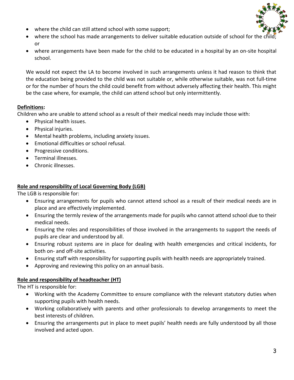

- where the child can still attend school with some support;
- where the school has made arrangements to deliver suitable education outside of school for the or
- where arrangements have been made for the child to be educated in a hospital by an on-site hospital school.

We would not expect the LA to become involved in such arrangements unless it had reason to think that the education being provided to the child was not suitable or, while otherwise suitable, was not full-time or for the number of hours the child could benefit from without adversely affecting their health. This might be the case where, for example, the child can attend school but only intermittently.

# **Definitions:**

Children who are unable to attend school as a result of their medical needs may include those with:

- Physical health issues.
- Physical injuries.
- Mental health problems, including anxiety issues.
- Emotional difficulties or school refusal.
- Progressive conditions.
- Terminal illnesses.
- Chronic illnesses.

# **Role and responsibility of Local Governing Body (LGB)**

The LGB is responsible for:

- Ensuring arrangements for pupils who cannot attend school as a result of their medical needs are in place and are effectively implemented.
- Ensuring the termly review of the arrangements made for pupils who cannot attend school due to their medical needs.
- Ensuring the roles and responsibilities of those involved in the arrangements to support the needs of pupils are clear and understood by all.
- Ensuring robust systems are in place for dealing with health emergencies and critical incidents, for both on- and off-site activities.
- Ensuring staff with responsibility for supporting pupils with health needs are appropriately trained.
- Approving and reviewing this policy on an annual basis.

# **Role and responsibility of headteacher (HT)**

The HT is responsible for:

- Working with the Academy Committee to ensure compliance with the relevant statutory duties when supporting pupils with health needs.
- Working collaboratively with parents and other professionals to develop arrangements to meet the best interests of children.
- Ensuring the arrangements put in place to meet pupils' health needs are fully understood by all those involved and acted upon.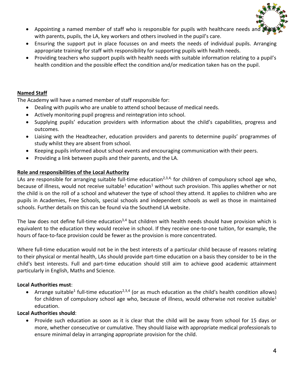

- Appointing a named member of staff who is responsible for pupils with healthcare needs and with parents, pupils, the LA, key workers and others involved in the pupil's care.
- Ensuring the support put in place focusses on and meets the needs of individual pupils. Arranging appropriate training for staff with responsibility for supporting pupils with health needs.
- Providing teachers who support pupils with health needs with suitable information relating to a pupil's health condition and the possible effect the condition and/or medication taken has on the pupil.

#### **Named Staff**

The Academy will have a named member of staff responsible for:

- Dealing with pupils who are unable to attend school because of medical needs.
- Actively monitoring pupil progress and reintegration into school.
- Supplying pupils' education providers with information about the child's capabilities, progress and outcomes.
- Liaising with the Headteacher, education providers and parents to determine pupils' programmes of study whilst they are absent from school.
- Keeping pupils informed about school events and encouraging communication with their peers.
- Providing a link between pupils and their parents, and the LA.

# **Role and responsibilities of the Local Authority**

LAs are responsible for arranging suitable full-time education<sup>2,3,4,</sup> for children of compulsory school age who, because of illness, would not receive suitable<sup>1</sup> education<sup>1</sup> without such provision. This applies whether or not the child is on the roll of a school and whatever the type of school they attend. It applies to children who are pupils in Academies, Free Schools, special schools and independent schools as well as those in maintained schools. Further details on this can be found via the Southend LA website.

The law does not define full-time education<sup>3,4</sup> but children with health needs should have provision which is equivalent to the education they would receive in school. If they receive one-to-one tuition, for example, the hours of face-to-face provision could be fewer as the provision is more concentrated.

Where full-time education would not be in the best interests of a particular child because of reasons relating to their physical or mental health, LAs should provide part-time education on a basis they consider to be in the child's best interests. Full and part-time education should still aim to achieve good academic attainment particularly in English, Maths and Science.

# **Local Authorities must**:

• Arrange suitable<sup>1</sup> full-time education<sup>2,3,4</sup> (or as much education as the child's health condition allows) for children of compulsory school age who, because of illness, would otherwise not receive suitable<sup>1</sup> education.

# **Local Authorities should**:

• Provide such education as soon as it is clear that the child will be away from school for 15 days or more, whether consecutive or cumulative. They should liaise with appropriate medical professionals to ensure minimal delay in arranging appropriate provision for the child.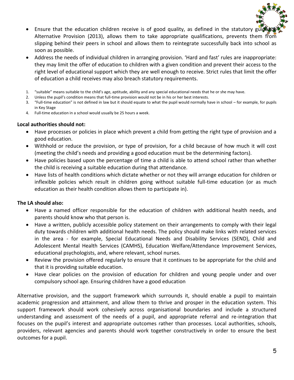

- Ensure that the education children receive is of good quality, as defined in the statutory guide Alternative Provision (2013), allows them to take appropriate qualifications, prevents them from slipping behind their peers in school and allows them to reintegrate successfully back into school as soon as possible.
- Address the needs of individual children in arranging provision. 'Hard and fast' rules are inappropriate: they may limit the offer of education to children with a given condition and prevent their access to the right level of educational support which they are well enough to receive. Strict rules that limit the offer of education a child receives may also breach statutory requirements.
- 1. "suitable" means suitable to the child's age, aptitude, ability and any special educational needs that he or she may have.
- 2. Unless the pupil's condition means that full-time provision would not be in his or her best interests.
- 3. "Full-time education" is not defined in law but it should equate to what the pupil would normally have in school for example, for pupils in Key Stage
- 4. Full-time education in a school would usually be 25 hours a week.

#### **Local authorities should not:**

- Have processes or policies in place which prevent a child from getting the right type of provision and a good education.
- Withhold or reduce the provision, or type of provision, for a child because of how much it will cost (meeting the child's needs and providing a good education must be the determining factors).
- Have policies based upon the percentage of time a child is able to attend school rather than whether the child is receiving a suitable education during that attendance.
- Have lists of health conditions which dictate whether or not they will arrange education for children or inflexible policies which result in children going without suitable full-time education (or as much education as their health condition allows them to participate in).

# **The LA should also:**

- Have a named officer responsible for the education of children with additional health needs, and parents should know who that person is.
- Have a written, publicly accessible policy statement on their arrangements to comply with their legal duty towards children with additional health needs. The policy should make links with related services in the area - for example, Special Educational Needs and Disability Services (SEND), Child and Adolescent Mental Health Services (CAMHS), Education Welfare/Attendance Improvement Services, educational psychologists, and, where relevant, school nurses.
- Review the provision offered regularly to ensure that it continues to be appropriate for the child and that it is providing suitable education.
- Have clear policies on the provision of education for children and young people under and over compulsory school age. Ensuring children have a good education

Alternative provision, and the support framework which surrounds it, should enable a pupil to maintain academic progression and attainment, and allow them to thrive and prosper in the education system. This support framework should work cohesively across organisational boundaries and include a structured understanding and assessment of the needs of a pupil, and appropriate referral and re-integration that focuses on the pupil's interest and appropriate outcomes rather than processes. Local authorities, schools, providers, relevant agencies and parents should work together constructively in order to ensure the best outcomes for a pupil.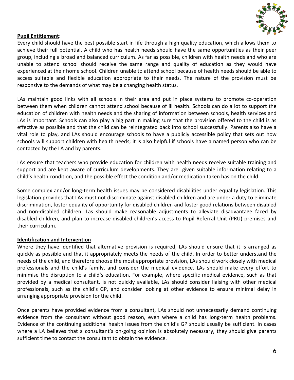

#### **Pupil Entitlement**:

Every child should have the best possible start in life through a high quality education, which allows them to achieve their full potential. A child who has health needs should have the same opportunities as their peer group, including a broad and balanced curriculum. As far as possible, children with health needs and who are unable to attend school should receive the same range and quality of education as they would have experienced at their home school. Children unable to attend school because of health needs should be able to access suitable and flexible education appropriate to their needs. The nature of the provision must be responsive to the demands of what may be a changing health status.

LAs maintain good links with all schools in their area and put in place systems to promote co-operation between them when children cannot attend school because of ill health. Schools can do a lot to support the education of children with health needs and the sharing of information between schools, health services and LAs is important. Schools can also play a big part in making sure that the provision offered to the child is as effective as possible and that the child can be reintegrated back into school successfully. Parents also have a vital role to play, and LAs should encourage schools to have a publicly accessible policy that sets out how schools will support children with health needs; it is also helpful if schools have a named person who can be contacted by the LA and by parents.

LAs ensure that teachers who provide education for children with health needs receive suitable training and support and are kept aware of curriculum developments. They are given suitable information relating to a child's health condition, and the possible effect the condition and/or medication taken has on the child.

Some complex and/or long-term health issues may be considered disabilities under equality legislation. This legislation provides that LAs must not discriminate against disabled children and are under a duty to eliminate discrimination, foster equality of opportunity for disabled children and foster good relations between disabled and non-disabled children. Las should make reasonable adjustments to alleviate disadvantage faced by disabled children, and plan to increase disabled children's access to Pupil Referral Unit (PRU) premises and their curriculum.

#### **Identification and Intervention**

Where they have identified that alternative provision is required, LAs should ensure that it is arranged as quickly as possible and that it appropriately meets the needs of the child. In order to better understand the needs of the child, and therefore choose the most appropriate provision, LAs should work closely with medical professionals and the child's family, and consider the medical evidence. LAs should make every effort to minimise the disruption to a child's education. For example, where specific medical evidence, such as that provided by a medical consultant, is not quickly available, LAs should consider liaising with other medical professionals, such as the child's GP, and consider looking at other evidence to ensure minimal delay in arranging appropriate provision for the child.

Once parents have provided evidence from a consultant, LAs should not unnecessarily demand continuing evidence from the consultant without good reason, even where a child has long-term health problems. Evidence of the continuing additional health issues from the child's GP should usually be sufficient. In cases where a LA believes that a consultant's on-going opinion is absolutely necessary, they should give parents sufficient time to contact the consultant to obtain the evidence.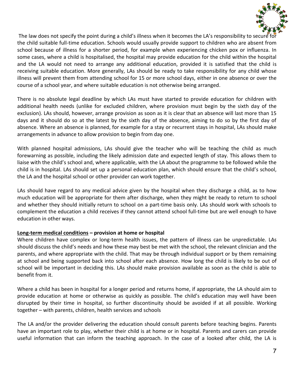

The law does not specify the point during a child's illness when it becomes the LA's responsibility to secure for the child suitable full-time education. Schools would usually provide support to children who are absent from school because of illness for a shorter period, for example when experiencing chicken pox or influenza. In some cases, where a child is hospitalised, the hospital may provide education for the child within the hospital and the LA would not need to arrange any additional education, provided it is satisfied that the child is receiving suitable education. More generally, LAs should be ready to take responsibility for any child whose illness will prevent them from attending school for 15 or more school days, either in one absence or over the course of a school year, and where suitable education is not otherwise being arranged.

There is no absolute legal deadline by which LAs must have started to provide education for children with additional health needs (unlike for excluded children, where provision must begin by the sixth day of the exclusion). LAs should, however, arrange provision as soon as it is clear that an absence will last more than 15 days and it should do so at the latest by the sixth day of the absence, aiming to do so by the first day of absence. Where an absence is planned, for example for a stay or recurrent stays in hospital, LAs should make arrangements in advance to allow provision to begin from day one.

With planned hospital admissions, LAs should give the teacher who will be teaching the child as much forewarning as possible, including the likely admission date and expected length of stay. This allows them to liaise with the child's school and, where applicable, with the LA about the programme to be followed while the child is in hospital. LAs should set up a personal education plan, which should ensure that the child's school, the LA and the hospital school or other provider can work together.

LAs should have regard to any medical advice given by the hospital when they discharge a child, as to how much education will be appropriate for them after discharge, when they might be ready to return to school and whether they should initially return to school on a part-time basis only. LAs should work with schools to complement the education a child receives if they cannot attend school full-time but are well enough to have education in other ways.

# **Long-term medical conditions – provision at home or hospital**

Where children have complex or long-term health issues, the pattern of illness can be unpredictable. LAs should discuss the child's needs and how these may best be met with the school, the relevant clinician and the parents, and where appropriate with the child. That may be through individual support or by them remaining at school and being supported back into school after each absence. How long the child is likely to be out of school will be important in deciding this. LAs should make provision available as soon as the child is able to benefit from it.

Where a child has been in hospital for a longer period and returns home, if appropriate, the LA should aim to provide education at home or otherwise as quickly as possible. The child's education may well have been disrupted by their time in hospital, so further discontinuity should be avoided if at all possible. Working together – with parents, children, health services and schools

The LA and/or the provider delivering the education should consult parents before teaching begins. Parents have an important role to play, whether their child is at home or in hospital. Parents and carers can provide useful information that can inform the teaching approach. In the case of a looked after child, the LA is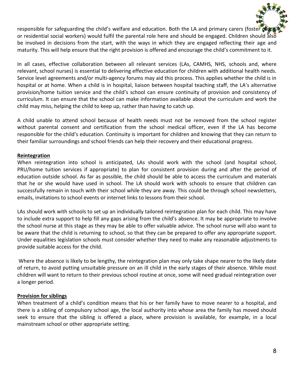responsible for safeguarding the child's welfare and education. Both the LA and primary carers (foster cares or residential social workers) would fulfil the parental role here and should be engaged. Children should also be involved in decisions from the start, with the ways in which they are engaged reflecting their age and maturity. This will help ensure that the right provision is offered and encourage the child's commitment to it.

In all cases, effective collaboration between all relevant services (LAs, CAMHS, NHS, schools and, where relevant, school nurses) is essential to delivering effective education for children with additional health needs. Service level agreements and/or multi-agency forums may aid this process. This applies whether the child is in hospital or at home. When a child is in hospital, liaison between hospital teaching staff, the LA's alternative provision/home tuition service and the child's school can ensure continuity of provision and consistency of curriculum. It can ensure that the school can make information available about the curriculum and work the child may miss, helping the child to keep up, rather than having to catch up.

A child unable to attend school because of health needs must not be removed from the school register without parental consent and certification from the school medical officer, even if the LA has become responsible for the child's education. Continuity is important for children and knowing that they can return to their familiar surroundings and school friends can help their recovery and their educational progress.

#### **Reintegration**

When reintegration into school is anticipated, LAs should work with the school (and hospital school, PRU/home tuition services if appropriate) to plan for consistent provision during and after the period of education outside school. As far as possible, the child should be able to access the curriculum and materials that he or she would have used in school. The LA should work with schools to ensure that children can successfully remain in touch with their school while they are away. This could be through school newsletters, emails, invitations to school events or internet links to lessons from their school.

LAs should work with schools to set up an individually tailored reintegration plan for each child. This may have to include extra support to help fill any gaps arising from the child's absence. It may be appropriate to involve the school nurse at this stage as they may be able to offer valuable advice. The school nurse will also want to be aware that the child is returning to school, so that they can be prepared to offer any appropriate support. Under equalities legislation schools must consider whether they need to make any reasonable adjustments to provide suitable access for the child.

Where the absence is likely to be lengthy, the reintegration plan may only take shape nearer to the likely date of return, to avoid putting unsuitable pressure on an ill child in the early stages of their absence. While most children will want to return to their previous school routine at once, some will need gradual reintegration over a longer period.

#### **Provision for siblings**

When treatment of a child's condition means that his or her family have to move nearer to a hospital, and there is a sibling of compulsory school age, the local authority into whose area the family has moved should seek to ensure that the sibling is offered a place, where provision is available, for example, in a local mainstream school or other appropriate setting.